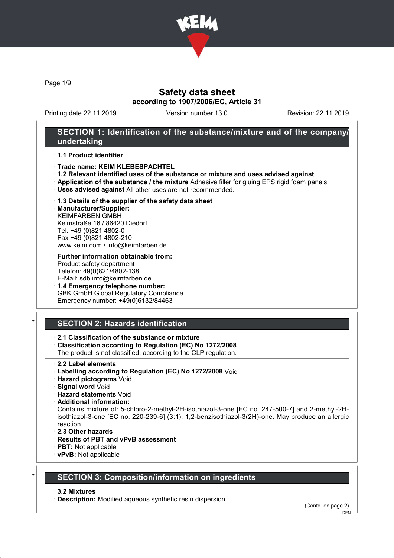

Page 1/9

## Safety data sheet according to 1907/2006/EC, Article 31

Printing date 22.11.2019 Version number 13.0 Revision: 22.11.2019

### SECTION 1: Identification of the substance/mixture and of the company/ undertaking

#### · 1.1 Product identifier

- · Trade name: KEIM KLEBESPACHTEL
- · 1.2 Relevant identified uses of the substance or mixture and uses advised against
- · Application of the substance / the mixture Adhesive filler for gluing EPS rigid foam panels
- · Uses advised against All other uses are not recommended.

#### · 1.3 Details of the supplier of the safety data sheet

· Manufacturer/Supplier: KEIMFARBEN GMBH Keimstraße 16 / 86420 Diedorf Tel. +49 (0)821 4802-0 Fax +49 (0)821 4802-210 www.keim.com / info@keimfarben.de

- · Further information obtainable from: Product safety department Telefon: 49(0)821/4802-138 E-Mail: sdb.info@keimfarben.de
- · 1.4 Emergency telephone number: GBK GmbH Global Regulatory Compliance Emergency number: +49(0)6132/84463

## **SECTION 2: Hazards identification**

### · 2.1 Classification of the substance or mixture

· Classification according to Regulation (EC) No 1272/2008

The product is not classified, according to the CLP regulation.

- 2.2 Label elements
- · Labelling according to Regulation (EC) No 1272/2008 Void
- · Hazard pictograms Void
- · Signal word Void
- · Hazard statements Void
- · Additional information:

Contains mixture of: 5-chloro-2-methyl-2H-isothiazol-3-one [EC no. 247-500-7] and 2-methyl-2Hisothiazol-3-one [EC no. 220-239-6] (3:1), 1,2-benzisothiazol-3(2H)-one. May produce an allergic reaction.

- · 2.3 Other hazards
- · Results of PBT and vPvB assessment
- · PBT: Not applicable
- · vPvB: Not applicable

### **SECTION 3: Composition/information on ingredients**

#### · 3.2 Mixtures

· Description: Modified aqueous synthetic resin dispersion

(Contd. on page 2)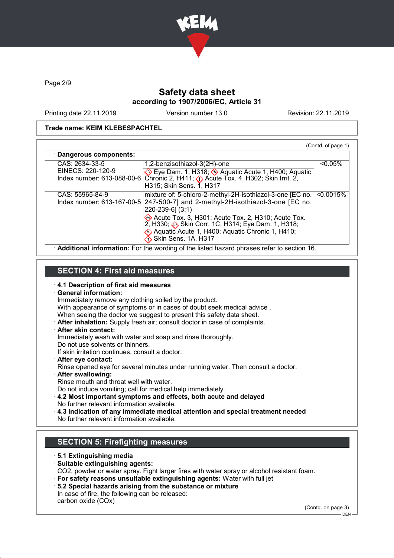

Page 2/9

# Safety data sheet according to 1907/2006/EC, Article 31

Printing date 22.11.2019 Version number 13.0 Revision: 22.11.2019

#### Trade name: KEIM KLEBESPACHTEL

| · Dangerous components: |                                                                                                                                                                           |            |
|-------------------------|---------------------------------------------------------------------------------------------------------------------------------------------------------------------------|------------|
| CAS: 2634-33-5          | 1,2-benzisothiazol-3(2H)-one                                                                                                                                              | $< 0.05\%$ |
| EINECS: 220-120-9       | Eye Dam. 1, H318; Aquatic Acute 1, H400; Aquatic<br>Index number: 613-088-00-6 Chronic 2, H411; $\Diamond$ Acute Tox. 4, H302; Skin Irrit. 2,<br>H315; Skin Sens. 1, H317 |            |
| CAS: 55965-84-9         | mixture of: 5-chloro-2-methyl-2H-isothiazol-3-one [EC no.                                                                                                                 | < 0.0015%  |
|                         | Index number: $613-167-00-5$ 247-500-7] and 2-methyl-2H-isothiazol-3-one [EC no.<br>$220 - 239 - 6$ ] (3:1)                                                               |            |
|                         | Acute Tox. 3, H301; Acute Tox. 2, H310; Acute Tox.<br>2, H330; Skin Corr. 1C, H314; Eye Dam. 1, H318;                                                                     |            |
|                         | Aquatic Acute 1, H400; Aquatic Chronic 1, H410;<br>Skin Sens. 1A, H317                                                                                                    |            |

# SECTION 4: First aid measures

#### · 4.1 Description of first aid measures

| <b>General information:</b>                                                               |
|-------------------------------------------------------------------------------------------|
| Immediately remove any clothing soiled by the product.                                    |
| With appearance of symptoms or in cases of doubt seek medical advice.                     |
| When seeing the doctor we suggest to present this safety data sheet.                      |
| After inhalation: Supply fresh air; consult doctor in case of complaints.                 |
| · After skin contact:                                                                     |
| Immediately wash with water and soap and rinse thoroughly.                                |
| Do not use solvents or thinners.                                                          |
| If skin irritation continues, consult a doctor.                                           |
| · After eye contact:                                                                      |
| Rinse opened eye for several minutes under running water. Then consult a doctor.          |
| · After swallowing:                                                                       |
| Rinse mouth and throat well with water.                                                   |
| Do not induce vomiting; call for medical help immediately.                                |
| 4.2 Most important symptoms and effects, both acute and delayed                           |
| No further relevant information available.                                                |
| 14.3 Indication of any immediate medical attention and special treatment needed           |
| No further relevant information available.                                                |
|                                                                                           |
|                                                                                           |
| <b>SECTION 5: Firefighting measures</b>                                                   |
|                                                                                           |
| ⋅5.1 Extinguishing media                                                                  |
| · Suitable extinguishing agents:                                                          |
| CO2, nowder or water spray. Fight larger fires with water spray or alcohol resistant foam |

- CO2, powder or water spray. Fight larger fires with water spray or alcohol resistant foam. · For safety reasons unsuitable extinguishing agents: Water with full jet
- · 5.2 Special hazards arising from the substance or mixture
- In case of fire, the following can be released: carbon oxide (COx)

(Contd. on page 3)

 $-$  DEN -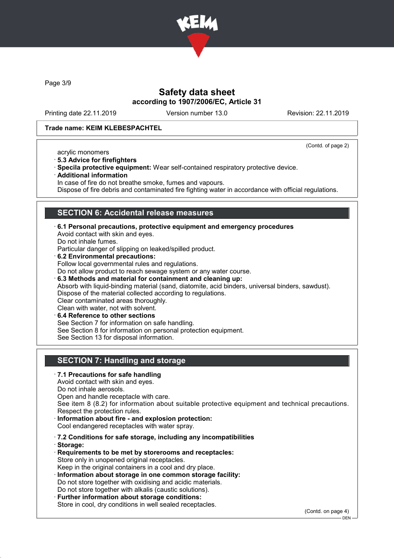

Page 3/9

## Safety data sheet according to 1907/2006/EC, Article 31

Printing date 22.11.2019 Version number 13.0 Revision: 22.11.2019

#### Trade name: KEIM KLEBESPACHTEL

(Contd. of page 2)

- acrylic monomers
- · 5.3 Advice for firefighters
- · Specila protective equipment: Wear self-contained respiratory protective device. · Additional information
- In case of fire do not breathe smoke, fumes and vapours.

Dispose of fire debris and contaminated fire fighting water in accordance with official regulations.

### SECTION 6: Accidental release measures

- $\cdot$  6.1 Personal precautions, protective equipment and emergency procedures Avoid contact with skin and eyes. Do not inhale fumes. Particular danger of slipping on leaked/spilled product. 6.2 Environmental precautions:
- Follow local governmental rules and regulations. Do not allow product to reach sewage system or any water course.
- · 6.3 Methods and material for containment and cleaning up: Absorb with liquid-binding material (sand, diatomite, acid binders, universal binders, sawdust). Dispose of the material collected according to regulations. Clear contaminated areas thoroughly.
- Clean with water, not with solvent. 6.4 Reference to other sections See Section 7 for information on safe handling. See Section 8 for information on personal protection equipment. See Section 13 for disposal information.

# SECTION 7: Handling and storage

- · 7.1 Precautions for safe handling
- Avoid contact with skin and eyes. Do not inhale aerosols. Open and handle receptacle with care.

See item 8 (8.2) for information about suitable protective equipment and technical precautions. Respect the protection rules.

Information about fire - and explosion protection:

Cool endangered receptacles with water spray.

- · 7.2 Conditions for safe storage, including any incompatibilities
- · Storage:
- · Requirements to be met by storerooms and receptacles: Store only in unopened original receptacles. Keep in the original containers in a cool and dry place.
- · Information about storage in one common storage facility: Do not store together with oxidising and acidic materials. Do not store together with alkalis (caustic solutions).
- · Further information about storage conditions: Store in cool, dry conditions in well sealed receptacles.

(Contd. on page 4)

DEN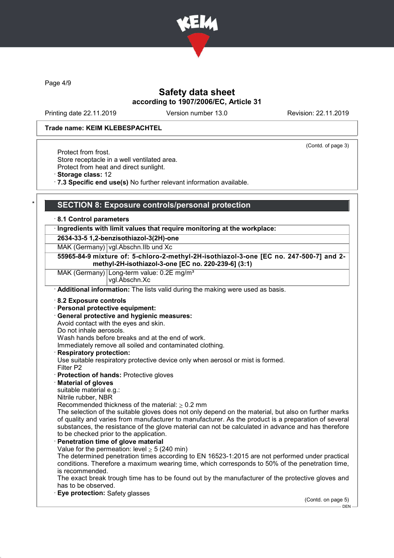

Page 4/9

## Safety data sheet according to 1907/2006/EC, Article 31

Printing date 22.11.2019 Version number 13.0 Revision: 22.11.2019

#### Trade name: KEIM KLEBESPACHTEL

(Contd. of page 3)

Protect from frost. Store receptacle in a well ventilated area. Protect from heat and direct sunlight.

· Storage class: 12

· 7.3 Specific end use(s) No further relevant information available.

## SECTION 8: Exposure controls/personal protection

#### · 8.1 Control parameters

#### · Ingredients with limit values that require monitoring at the workplace:

2634-33-5 1,2-benzisothiazol-3(2H)-one

MAK (Germany) vgl.Abschn.IIb und Xc

#### 55965-84-9 mixture of: 5-chloro-2-methyl-2H-isothiazol-3-one [EC no. 247-500-7] and 2 methyl-2H-isothiazol-3-one [EC no. 220-239-6] (3:1)

MAK (Germany) Long-term value: 0.2E mg/m<sup>3</sup>

## vgl.Abschn.Xc

· Additional information: The lists valid during the making were used as basis.

#### · 8.2 Exposure controls

- · Personal protective equipment:
- · General protective and hygienic measures:

Avoid contact with the eyes and skin.

Do not inhale aerosols.

Wash hands before breaks and at the end of work.

Immediately remove all soiled and contaminated clothing.

**Respiratory protection:** 

Use suitable respiratory protective device only when aerosol or mist is formed.

- Filter P2
- · Protection of hands: Protective gloves
- · Material of gloves
- suitable material e.g.:
- Nitrile rubber, NBR
- Recommended thickness of the material:  $\geq 0.2$  mm

The selection of the suitable gloves does not only depend on the material, but also on further marks of quality and varies from manufacturer to manufacturer. As the product is a preparation of several substances, the resistance of the glove material can not be calculated in advance and has therefore to be checked prior to the application.

### Penetration time of glove material

Value for the permeation: level  $> 5$  (240 min)

The determined penetration times according to EN 16523-1:2015 are not performed under practical conditions. Therefore a maximum wearing time, which corresponds to 50% of the penetration time, is recommended.

The exact break trough time has to be found out by the manufacturer of the protective gloves and has to be observed.

### Eye protection: Safety glasses

(Contd. on page 5) DEN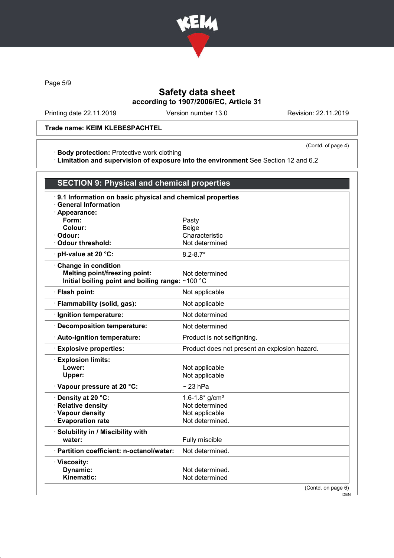

Page 5/9

# Safety data sheet according to 1907/2006/EC, Article 31

Printing date 22.11.2019 Version number 13.0 Revision: 22.11.2019

### Trade name: KEIM KLEBESPACHTEL

· Body protection: Protective work clothing

(Contd. of page 4)

· Limitation and supervision of exposure into the environment See Section 12 and 6.2

| <b>SECTION 9: Physical and chemical properties</b>                                                              |                                               |  |
|-----------------------------------------------------------------------------------------------------------------|-----------------------------------------------|--|
| 9.1 Information on basic physical and chemical properties<br><b>General Information</b><br>· Appearance:        |                                               |  |
| Form:                                                                                                           | Pasty                                         |  |
| Colour:                                                                                                         | <b>Beige</b>                                  |  |
| Odour:                                                                                                          | Characteristic                                |  |
| <b>Odour threshold:</b>                                                                                         | Not determined                                |  |
| · pH-value at 20 °C:                                                                                            | $8.2 - 8.7*$                                  |  |
| Change in condition<br><b>Melting point/freezing point:</b><br>Initial boiling point and boiling range: ~100 °C | Not determined                                |  |
| · Flash point:                                                                                                  | Not applicable                                |  |
| · Flammability (solid, gas):                                                                                    | Not applicable                                |  |
| · Ignition temperature:                                                                                         | Not determined                                |  |
| · Decomposition temperature:                                                                                    | Not determined                                |  |
| · Auto-ignition temperature:                                                                                    | Product is not selfigniting.                  |  |
| <b>Explosive properties:</b>                                                                                    | Product does not present an explosion hazard. |  |
| <b>Explosion limits:</b><br>Lower:<br>Upper:                                                                    | Not applicable<br>Not applicable              |  |
| Vapour pressure at 20 °C:                                                                                       | $\sim$ 23 hPa                                 |  |
| Density at 20 °C:                                                                                               | 1.6-1.8* $g/cm^{3}$                           |  |
| · Relative density                                                                                              | Not determined                                |  |
| · Vapour density                                                                                                | Not applicable                                |  |
| <b>Evaporation rate</b>                                                                                         | Not determined.                               |  |
| · Solubility in / Miscibility with<br>water:                                                                    | Fully miscible                                |  |
| · Partition coefficient: n-octanol/water:                                                                       | Not determined.                               |  |
| · Viscosity:                                                                                                    |                                               |  |
| Dynamic:                                                                                                        | Not determined.                               |  |
| Kinematic:                                                                                                      | Not determined                                |  |
|                                                                                                                 | (Contd. on page 6)<br>– DEN –                 |  |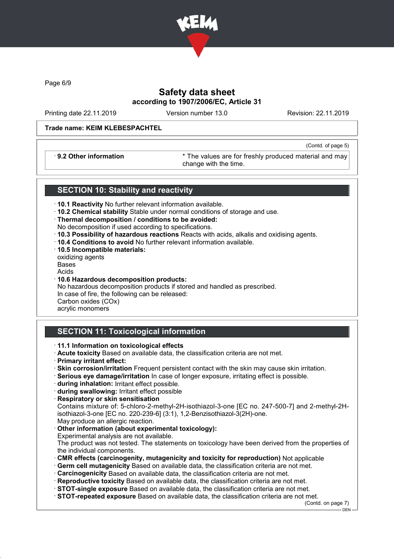

Page 6/9

## Safety data sheet according to 1907/2006/EC, Article 31

Printing date 22.11.2019 Version number 13.0 Revision: 22.11.2019

(Contd. of page 5)

### Trade name: KEIM KLEBESPACHTEL

· 9.2 Other information \* The values are for freshly produced material and may change with the time.

### SECTION 10: Stability and reactivity

- · 10.1 Reactivity No further relevant information available.
- · 10.2 Chemical stability Stable under normal conditions of storage and use.
- · Thermal decomposition / conditions to be avoided:
- No decomposition if used according to specifications.
- · 10.3 Possibility of hazardous reactions Reacts with acids, alkalis and oxidising agents.
- · 10.4 Conditions to avoid No further relevant information available.
- · 10.5 Incompatible materials:
- oxidizing agents
- Bases
- Acids
- · 10.6 Hazardous decomposition products:

No hazardous decomposition products if stored and handled as prescribed. In case of fire, the following can be released: Carbon oxides (COx)

acrylic monomers

## SECTION 11: Toxicological information

### · 11.1 Information on toxicological effects

- · Acute toxicity Based on available data, the classification criteria are not met.
- · Primary irritant effect:
- · Skin corrosion/irritation Frequent persistent contact with the skin may cause skin irritation.
- · Serious eye damage/irritation In case of longer exposure, irritating effect is possible.
- · during inhalation: Irritant effect possible.
- · during swallowing: Irritant effect possible
- · Respiratory or skin sensitisation

Contains mixture of: 5-chloro-2-methyl-2H-isothiazol-3-one [EC no. 247-500-7] and 2-methyl-2Hisothiazol-3-one [EC no. 220-239-6] (3:1), 1,2-Benzisothiazol-3(2H)-one. May produce an allergic reaction.

Other information (about experimental toxicology):

Experimental analysis are not available.

The product was not tested. The statements on toxicology have been derived from the properties of the individual components.

- · CMR effects (carcinogenity, mutagenicity and toxicity for reproduction) Not applicable
- · Germ cell mutagenicity Based on available data, the classification criteria are not met.
- · Carcinogenicity Based on available data, the classification criteria are not met.
- · Reproductive toxicity Based on available data, the classification criteria are not met.
- · STOT-single exposure Based on available data, the classification criteria are not met.
- · STOT-repeated exposure Based on available data, the classification criteria are not met.

(Contd. on page 7)

DEN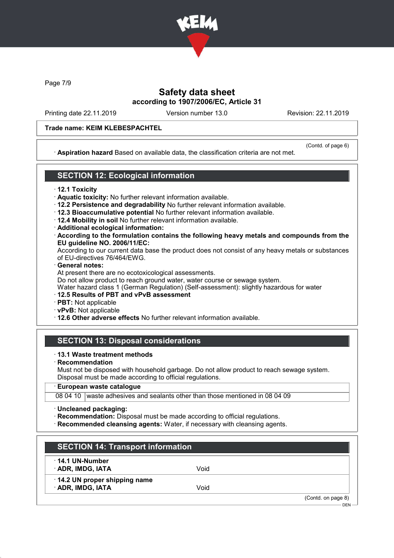

Page 7/9

## Safety data sheet according to 1907/2006/EC, Article 31

Printing date 22.11.2019 Version number 13.0 Revision: 22.11.2019

### Trade name: KEIM KLEBESPACHTEL

(Contd. of page 6)

· Aspiration hazard Based on available data, the classification criteria are not met.

# SECTION 12: Ecological information

### · 12.1 Toxicity

- · Aquatic toxicity: No further relevant information available.
- · 12.2 Persistence and degradability No further relevant information available.
- · 12.3 Bioaccumulative potential No further relevant information available.
- · 12.4 Mobility in soil No further relevant information available.
- · Additional ecological information:
- · According to the formulation contains the following heavy metals and compounds from the EU guideline NO. 2006/11/EC:

According to our current data base the product does not consist of any heavy metals or substances of EU-directives 76/464/EWG.

· General notes:

At present there are no ecotoxicological assessments.

Do not allow product to reach ground water, water course or sewage system.

Water hazard class 1 (German Regulation) (Self-assessment): slightly hazardous for water

- · 12.5 Results of PBT and vPvB assessment
- · PBT: Not applicable
- · vPvB: Not applicable
- · 12.6 Other adverse effects No further relevant information available.

# SECTION 13: Disposal considerations

### · 13.1 Waste treatment methods

· Recommendation

Must not be disposed with household garbage. Do not allow product to reach sewage system. Disposal must be made according to official regulations.

### · European waste catalogue

08 04 10 waste adhesives and sealants other than those mentioned in 08 04 09

- · Uncleaned packaging:
- · Recommendation: Disposal must be made according to official regulations.
- · Recommended cleansing agents: Water, if necessary with cleansing agents.

| $\cdot$ 14.1 UN-Number       |      |  |
|------------------------------|------|--|
| · ADR, IMDG, IATA            | Void |  |
| 14.2 UN proper shipping name |      |  |
| · ADR, IMDG, IATA            | Void |  |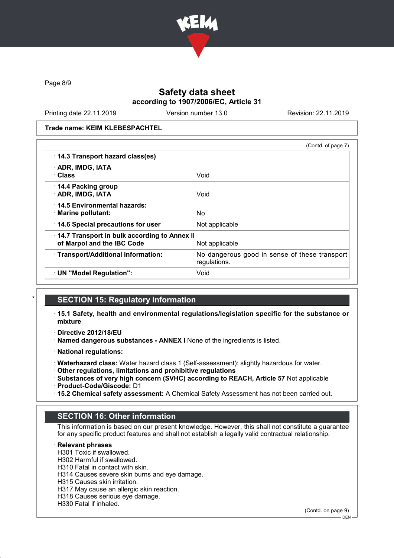

Page 8/9

## Safety data sheet according to 1907/2006/EC, Article 31

Printing date 22.11.2019 Version number 13.0 Revision: 22.11.2019

Trade name: KEIM KLEBESPACHTEL

|                                              | (Contd. of page 7)                                            |
|----------------------------------------------|---------------------------------------------------------------|
| 14.3 Transport hazard class(es)              |                                                               |
| · ADR, IMDG, IATA                            |                                                               |
| · Class                                      | Void                                                          |
| 14.4 Packing group                           |                                                               |
| · ADR, IMDG, IATA                            | Void                                                          |
| 14.5 Environmental hazards:                  |                                                               |
| · Marine pollutant:                          | No                                                            |
| 14.6 Special precautions for user            | Not applicable                                                |
| 14.7 Transport in bulk according to Annex II |                                                               |
| of Marpol and the IBC Code                   | Not applicable                                                |
| · Transport/Additional information:          | No dangerous good in sense of these transport<br>regulations. |
| · UN "Model Regulation":                     | Void                                                          |

### **SECTION 15: Regulatory information**

- · 15.1 Safety, health and environmental regulations/legislation specific for the substance or mixture
- · Directive 2012/18/EU
- · Named dangerous substances ANNEX I None of the ingredients is listed.
- · National regulations:
- · Waterhazard class: Water hazard class 1 (Self-assessment): slightly hazardous for water.
- · Other regulations, limitations and prohibitive regulations
- · Substances of very high concern (SVHC) according to REACH, Article 57 Not applicable · Product-Code/Giscode: D1
- · 15.2 Chemical safety assessment: A Chemical Safety Assessment has not been carried out.

### SECTION 16: Other information

This information is based on our present knowledge. However, this shall not constitute a guarantee for any specific product features and shall not establish a legally valid contractual relationship.

#### **Relevant phrases**

H301 Toxic if swallowed.

- H302 Harmful if swallowed.
- H310 Fatal in contact with skin.
- H314 Causes severe skin burns and eye damage.
- H315 Causes skin irritation.
- H317 May cause an allergic skin reaction.
- H318 Causes serious eye damage.
- H330 Fatal if inhaled.

(Contd. on page 9)

 $-$  DEN